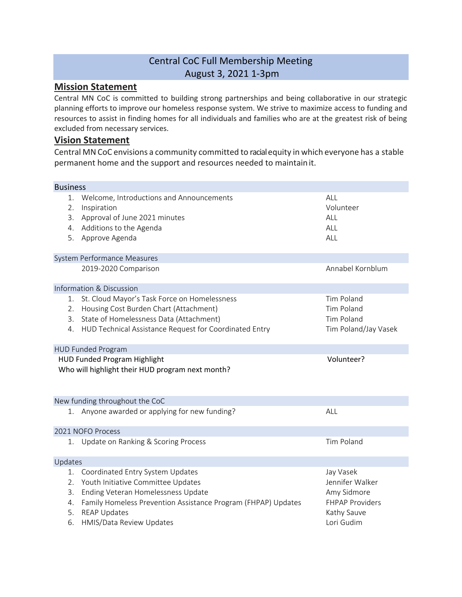## Central CoC Full Membership Meeting August 3, 2021 1-3pm

## **Mission Statement**

Central MN CoC is committed to building strong partnerships and being collaborative in our strategic planning efforts to improve our homeless response system. We strive to maximize access to funding and resources to assist in finding homes for all individuals and families who are at the greatest risk of being excluded from necessary services.

## **Vision Statement**

Central MNCoC envisions a community committed to racialequity in which everyone has a stable permanent home and the support and resources needed to maintainit.

| <b>Business</b>                  |                                                                                                                                                                                                                                  |                                                                                                    |
|----------------------------------|----------------------------------------------------------------------------------------------------------------------------------------------------------------------------------------------------------------------------------|----------------------------------------------------------------------------------------------------|
| 1.<br>2.<br>3.<br>4.<br>5.       | Welcome, Introductions and Announcements<br>Inspiration<br>Approval of June 2021 minutes<br>Additions to the Agenda<br>Approve Agenda                                                                                            | ALL<br>Volunteer<br>ALL<br>ALL<br>ALL                                                              |
|                                  | System Performance Measures                                                                                                                                                                                                      |                                                                                                    |
|                                  | 2019-2020 Comparison                                                                                                                                                                                                             | Annabel Kornblum                                                                                   |
|                                  | <b>Information &amp; Discussion</b>                                                                                                                                                                                              |                                                                                                    |
| 1.<br>2.<br>3.<br>4.             | St. Cloud Mayor's Task Force on Homelessness<br>Housing Cost Burden Chart (Attachment)<br>State of Homelessness Data (Attachment)<br>HUD Technical Assistance Request for Coordinated Entry                                      | Tim Poland<br><b>Tim Poland</b><br>Tim Poland<br>Tim Poland/Jay Vasek                              |
|                                  | <b>HUD Funded Program</b>                                                                                                                                                                                                        |                                                                                                    |
|                                  | <b>HUD Funded Program Highlight</b><br>Who will highlight their HUD program next month?                                                                                                                                          | Volunteer?                                                                                         |
|                                  | New funding throughout the CoC                                                                                                                                                                                                   |                                                                                                    |
| 1.                               | Anyone awarded or applying for new funding?                                                                                                                                                                                      | ALL                                                                                                |
|                                  | 2021 NOFO Process                                                                                                                                                                                                                |                                                                                                    |
|                                  | 1. Update on Ranking & Scoring Process                                                                                                                                                                                           | <b>Tim Poland</b>                                                                                  |
| Updates                          |                                                                                                                                                                                                                                  |                                                                                                    |
| 1.<br>2.<br>3.<br>4.<br>5.<br>6. | Coordinated Entry System Updates<br>Youth Initiative Committee Updates<br>Ending Veteran Homelessness Update<br>Family Homeless Prevention Assistance Program (FHPAP) Updates<br><b>REAP Updates</b><br>HMIS/Data Review Updates | Jay Vasek<br>Jennifer Walker<br>Amy Sidmore<br><b>FHPAP Providers</b><br>Kathy Sauve<br>Lori Gudim |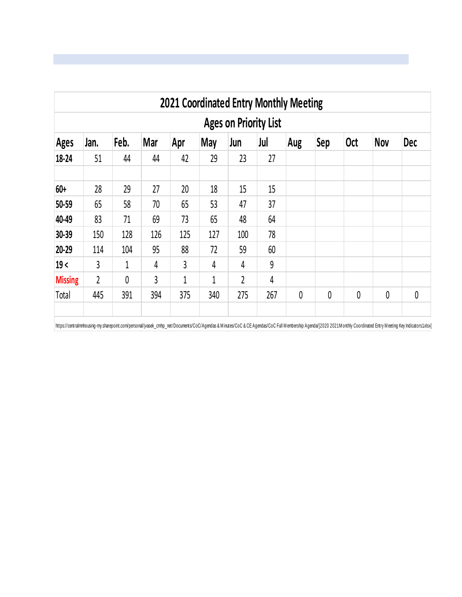| <b>2021 Coordinated Entry Monthly Meeting</b> |              |      |     |              |     |                |     |     |             |            |            |             |  |
|-----------------------------------------------|--------------|------|-----|--------------|-----|----------------|-----|-----|-------------|------------|------------|-------------|--|
| <b>Ages on Priority List</b>                  |              |      |     |              |     |                |     |     |             |            |            |             |  |
| <b>Ages</b>                                   | Jan.         | Feb. | Mar | Apr          | May | Jun            | Jul | Aug | Sep         | <b>Oct</b> | <b>Nov</b> | <b>Dec</b>  |  |
| 18-24                                         | 51           | 44   | 44  | 42           | 29  | 23             | 27  |     |             |            |            |             |  |
| 60+                                           | 28           | 29   | 27  | 20           | 18  | 15             | 15  |     |             |            |            |             |  |
| 50-59                                         | 65           | 58   | 70  | 65           | 53  | 47             | 37  |     |             |            |            |             |  |
| 40-49                                         | 83           | 71   | 69  | 73           | 65  | 48             | 64  |     |             |            |            |             |  |
| 30-39                                         | 150          | 128  | 126 | 125          | 127 | 100            | 78  |     |             |            |            |             |  |
| 20-29                                         | 114          | 104  | 95  | 88           | 72  | 59             | 60  |     |             |            |            |             |  |
| 19<                                           | $\mathsf{3}$ | 1    | 4   | $\mathsf{3}$ | 4   | 4              | 9   |     |             |            |            |             |  |
| <b>Missing</b>                                | 2            | 0    | 3   | 1            | 1   | $\overline{2}$ | 4   |     |             |            |            |             |  |
| Total                                         | 445          | 391  | 394 | 375          | 340 | 275            | 267 | 0   | $\mathbf 0$ | 0          | 0          | $\mathbf 0$ |  |

https://centralmnhousing-my.sharepoint.com/personal/jvasek\_cmhp\_net/Documents/CoC/Agendas & Minutes/CoC & CE Agendas/CoC Full Membership Agenda[2020 2021 Monthly Coordinated Entry Meeting Key Indicators1.xlsx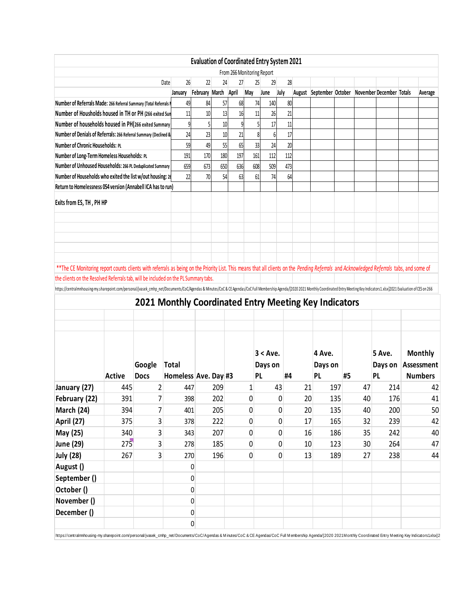|                                                                                                                                                                                                                                                                                                                                                                                                                                                                                                                     |                                                            |                       |                                                       |                      |          | <b>Evaluation of Coordinated Entry System 2021</b> |     |                              |          |    |                                |     |    |                          |                                                |
|---------------------------------------------------------------------------------------------------------------------------------------------------------------------------------------------------------------------------------------------------------------------------------------------------------------------------------------------------------------------------------------------------------------------------------------------------------------------------------------------------------------------|------------------------------------------------------------|-----------------------|-------------------------------------------------------|----------------------|----------|----------------------------------------------------|-----|------------------------------|----------|----|--------------------------------|-----|----|--------------------------|------------------------------------------------|
|                                                                                                                                                                                                                                                                                                                                                                                                                                                                                                                     |                                                            |                       |                                                       |                      |          | From 266 Monitoring Report                         |     |                              |          |    |                                |     |    |                          |                                                |
|                                                                                                                                                                                                                                                                                                                                                                                                                                                                                                                     |                                                            |                       | 26<br>Date                                            | 22                   | 24       | 27                                                 |     | 25<br>29                     | 28       |    |                                |     |    |                          |                                                |
|                                                                                                                                                                                                                                                                                                                                                                                                                                                                                                                     |                                                            |                       | January                                               | February March April |          |                                                    | May | June                         | July     |    | August September October       |     |    | November December Totals | Average                                        |
| Number of Referrals Made: 266 Referral Summary (Total Referrals )<br>Number of Housholds housed in TH or PH (266 exited Sun                                                                                                                                                                                                                                                                                                                                                                                         |                                                            |                       | 49<br>11                                              | 84                   | 57       | 68                                                 |     | 140<br>74                    | 80       |    |                                |     |    |                          |                                                |
| Number of households housed in PH(266 exited Summary                                                                                                                                                                                                                                                                                                                                                                                                                                                                |                                                            |                       | 9                                                     | 10<br>5              | 13<br>10 | 16<br>9                                            |     | 11<br>26<br>17               | 21<br>11 |    |                                |     |    |                          |                                                |
| Number of Denials of Referrals: 266 Referral Summary (Declined &                                                                                                                                                                                                                                                                                                                                                                                                                                                    |                                                            |                       | 24                                                    | 23                   | 10       | 21                                                 |     | 6<br>8                       | 17       |    |                                |     |    |                          |                                                |
|                                                                                                                                                                                                                                                                                                                                                                                                                                                                                                                     | Number of Chronic Households: PL                           |                       |                                                       |                      | 55       | 65                                                 |     | 33<br>24                     | 20       |    |                                |     |    |                          |                                                |
| Number of Long-Term Homeless Households: PL                                                                                                                                                                                                                                                                                                                                                                                                                                                                         | 59<br>191                                                  | 49<br>170             | 180                                                   | 197                  |          | 161<br>112                                         | 112 |                              |          |    |                                |     |    |                          |                                                |
| Number of Unhoused Households: 266 PL Deduplicated Summary                                                                                                                                                                                                                                                                                                                                                                                                                                                          | 659                                                        | 673                   | 650                                                   | 636                  |          | 608<br>509                                         | 473 |                              |          |    |                                |     |    |                          |                                                |
|                                                                                                                                                                                                                                                                                                                                                                                                                                                                                                                     | Number of Households who exited the list w/out housing: 26 |                       |                                                       | 70                   | 54       | 63                                                 |     | 74<br>61                     | 64       |    |                                |     |    |                          |                                                |
| Return to Homelessness 054 version (Annabell ICA has to run)                                                                                                                                                                                                                                                                                                                                                                                                                                                        |                                                            |                       |                                                       |                      |          |                                                    |     |                              |          |    |                                |     |    |                          |                                                |
| Exits from ES, TH, PH HP                                                                                                                                                                                                                                                                                                                                                                                                                                                                                            |                                                            |                       |                                                       |                      |          |                                                    |     |                              |          |    |                                |     |    |                          |                                                |
| ** The CE Monitoring report counts clients with referrals as being on the Priority List. This means that all clients on the Pending Referrals and Acknowledged Referrals tabs, and some of<br>the clients on the Resolved Referrals tab, will be included on the PL Summary tabs.<br>https://centralmnhousing-my.sharepoint.com/personal/jvasek_cmhp_net/Documents/CoC/Agendas & Minutes/CoC & CE Agendas/CoC Full Membership Agenda/2020 2021 Monthly Coordinated Entry Meeting Key Indicators1.xlsx]2021 Evaluati |                                                            |                       | 2021 Monthly Coordinated Entry Meeting Key Indicators |                      |          |                                                    |     |                              |          |    |                                |     |    |                          |                                                |
|                                                                                                                                                                                                                                                                                                                                                                                                                                                                                                                     | <b>Active</b>                                              | Google<br><b>Docs</b> | <b>Total</b><br>Homeless Ave. Day #3                  |                      |          |                                                    |     | $3 < A$ ve.<br>Days on<br>PL | #4       |    | 4 Ave.<br>Days on<br><b>PL</b> | #5  |    | 5 Ave.<br>Days on<br>PL  | <b>Monthly</b><br>Assessment<br><b>Numbers</b> |
|                                                                                                                                                                                                                                                                                                                                                                                                                                                                                                                     | 445                                                        | $\overline{c}$        | 447                                                   |                      | 209      |                                                    | 1   |                              | 43       | 21 |                                | 197 | 47 | 214                      | 42                                             |
|                                                                                                                                                                                                                                                                                                                                                                                                                                                                                                                     | 391                                                        | $\overline{7}$        | 398                                                   |                      | 202      |                                                    | 0   |                              | 0        | 20 |                                | 135 | 40 | 176                      | 41                                             |
|                                                                                                                                                                                                                                                                                                                                                                                                                                                                                                                     | 394                                                        | 7                     | 401                                                   |                      | 205      |                                                    | 0   |                              | 0        | 20 |                                | 135 | 40 | 200                      | 50                                             |
|                                                                                                                                                                                                                                                                                                                                                                                                                                                                                                                     | 375                                                        | 3                     | 378                                                   |                      | 222      |                                                    | 0   |                              | 0        | 17 |                                | 165 | 32 | 239                      | 42                                             |
| May (25)                                                                                                                                                                                                                                                                                                                                                                                                                                                                                                            | 340                                                        | 3                     | 343                                                   |                      | 207      |                                                    | 0   |                              | 0        | 16 |                                | 186 | 35 | 242                      | 40                                             |
|                                                                                                                                                                                                                                                                                                                                                                                                                                                                                                                     | 275                                                        | 3                     | 278                                                   |                      | 185      |                                                    | 0   |                              | 0        | 10 |                                | 123 | 30 | 264                      | 47                                             |
|                                                                                                                                                                                                                                                                                                                                                                                                                                                                                                                     | 267                                                        | 3                     | 270                                                   |                      | 196      |                                                    | 0   |                              | 0        | 13 |                                | 189 | 27 | 238                      | 44                                             |
|                                                                                                                                                                                                                                                                                                                                                                                                                                                                                                                     |                                                            |                       |                                                       | 0                    |          |                                                    |     |                              |          |    |                                |     |    |                          |                                                |
|                                                                                                                                                                                                                                                                                                                                                                                                                                                                                                                     |                                                            |                       |                                                       | 0                    |          |                                                    |     |                              |          |    |                                |     |    |                          |                                                |
|                                                                                                                                                                                                                                                                                                                                                                                                                                                                                                                     |                                                            |                       |                                                       | 0                    |          |                                                    |     |                              |          |    |                                |     |    |                          |                                                |
| January (27)<br>February (22)<br>March (24)<br>April (27)<br>June (29)<br><b>July (28)</b><br>August ()<br>September ()<br>October ()<br>November ()                                                                                                                                                                                                                                                                                                                                                                |                                                            |                       |                                                       | 0                    |          |                                                    |     |                              |          |    |                                |     |    |                          |                                                |
| December ()                                                                                                                                                                                                                                                                                                                                                                                                                                                                                                         |                                                            |                       |                                                       | 0                    |          |                                                    |     |                              |          |    |                                |     |    |                          |                                                |